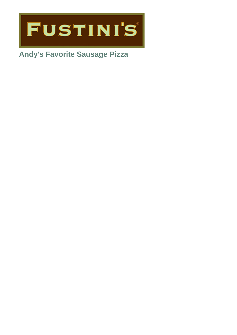

# **Andy's Favorite Sausage Pizza**

- 
- 
- 
- 
- 
- 
- 
- 
- 
- - - - -
				-
			-
- -
	- -
- 
- -
- 
- 
- 
- 
- 
- 
- 
- - -
		- - -
				-
			-
		- -
			-
- 
- 
- 
- 
- 
- 
- 
- 
- -
- 
- 
- 
- 
- 
- 
- 
- 
- 
- 
- 
- 
- 
- 
- 
- 
- 
- 
- 
- 
- 
- 
- 
- 
-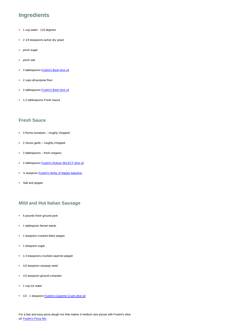## **Ingredients**

- 1 cup water 110 degrees
- 2 1/4 teaspoons active dry yeast
- pinch sugar
- pinch salt
- 3 tablespoons [Fustini's Basil olive oil](https://www.fustinis.com/order/basil_29/)
- 2 cups all-purpose flour
- 2 tablespoons [Fustini's Basil olive oil](https://www.fustinis.com/order/basil_29/)
- 1-2 tablespoons Fresh Sauce

### **Fresh Sauce**

- 3 Roma tomatoes roughly chopped
- 2 cloves garlic roughly chopped
- 2 tablespoons fresh oregano
- 2 tablespoons [Fustini's Robust SELECT olive oil](https://www.fustinis.com/order/category/oils/extra-virgin-olive-oils/robust_10/)
- ¼ teaspoon [Fustini's Herbs of Naples balsamic](https://www.fustinis.com/order/herbs-of-naples-dark_291/)
- Salt and pepper

#### **Mild and Hot Italian Sausage**

- 5 pounds fresh ground pork
- 1 tablespoon fennel seeds
- 1 teaspoon cracked black pepper
- 1 teaspoon sugar
- 1-3 teaspoons crushed cayenne pepper
- 1/2 teaspoon caraway seed
- 1/2 teaspoon ground coriander
- 1 cup ice water
- 1/2 1 teaspoon [Fustini's Cayenne Crush olive oil](https://www.fustinis.com/order/cayenne-crush-chili_226/)